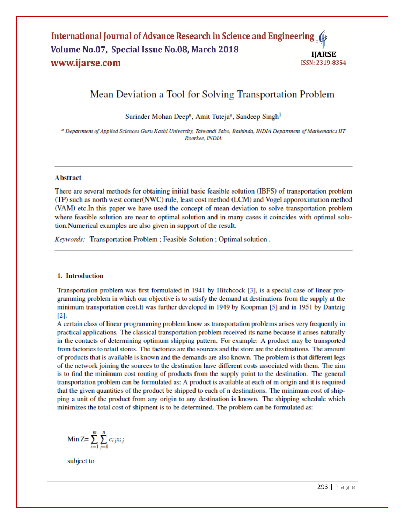## International Journal of Advance Research in Science and Engineering (4 Volume No.07, Special Issue No.08, March 2018 **IIARSE** www.ijarse.com **ISSN: 2319-8354**

# Mean Deviation a Tool for Solving Transportation Problem

Surinder Mohan Deep<sup>a</sup>, Amit Tuteja<sup>a</sup>, Sandeep Singh<sup>1</sup>

<sup>a</sup> Department of Applied Sciences Guru Kashi University, Talwandi Sabo, Bathinda, INDIA Department of Mathematics IIT Roorkee, INDIA

### **Abstract**

There are several methods for obtaining initial basic feasible solution (IBFS) of transportation problem (TP) such as north west corner(NWC) rule, least cost method (LCM) and Vogel apporoximation method (VAM) etc. In this paper we have used the concept of mean deviation to solve transportation problem where feasible solution are near to optimal solution and in many cases it coincides with optimal solution.Numerical examples are also given in support of the result.

Keywords: Transportation Problem; Feasible Solution; Optimal solution.

#### 1. Introduction

Transportation problem was first formulated in 1941 by Hitchcock [3], is a special case of linear programming problem in which our objective is to satisfy the demand at destinations from the supply at the minimum transportation cost. It was further developed in 1949 by Koopman [5] and in 1951 by Dantzig  $\Gamma$ 21.

A certain class of linear programming problem know as transportation problems arises very frequently in practical applications. The classical transportation problem received its name because it arises naturally in the contacts of determining optimum shipping pattern. For example: A product may be transported from factories to retail stores. The factories are the sources and the store are the destinations. The amount of products that is available is known and the demands are also known. The problem is that different legs of the network joining the sources to the destination have different costs associated with them. The aim is to find the minimum cost routing of products from the supply point to the destination. The general transportation problem can be formulated as: A product is available at each of m origin and it is required that the given quantities of the product be shipped to each of n destinations. The minimum cost of shipping a unit of the product from any origin to any destination is known. The shipping schedule which minimizes the total cost of shipment is to be determined. The problem can be formulated as:

$$
\text{Min } Z = \sum_{i=1}^{m} \sum_{j=1}^{n} c_{ij} x_{ij}
$$

subject to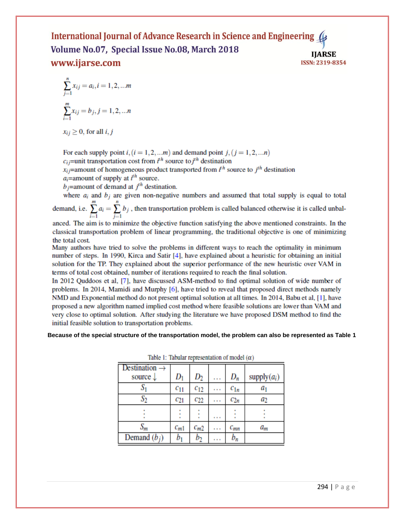#### International Journal of Advance Research in Science and Engineering ( Volume No.07, Special Issue No.08, March 2018 **IIARSE** www.ijarse.com **ISSN: 2319-8354**

$$
\sum_{j=1}^{n} x_{ij} = a_i, i = 1, 2, \dots m
$$

$$
\sum_{i=1}^{m} x_{ij} = b_j, j = 1, 2, \dots n
$$

$$
x_{ij} \ge 0
$$
, for all  $i, j$ 

For each supply point  $i$ ,  $(i = 1, 2, ...m)$  and demand point  $j$ ,  $(j = 1, 2, ...n)$  $c_{ij}$ =unit transportation cost from  $i^{th}$  source to  $i^{th}$  destination

 $x_i$  = amount of homogeneous product transported from  $t^h$  source to  $i^h$  destination

 $a_i$ =amount of supply at  $i^{th}$  source.

 $b_i$ =amount of demand at  $i^{th}$  destination.

where  $a_i$  and  $b_j$  are given non-negative numbers and assumed that total supply is equal to total demand, i.e.  $\sum_{i=1}^{m} a_i = \sum_{i=1}^{n} b_i$ , then transportation problem is called balanced otherwise it is called unbal-

anced. The aim is to minimize the objective function satisfying the above mentioned constraints. In the classical transportation problem of linear programming, the traditional objective is one of minimizing the total cost.

Many authors have tried to solve the problems in different ways to reach the optimality in minimum number of steps. In 1990, Kirca and Satir [4], have explained about a heuristic for obtaining an initial solution for the TP. They explained about the superior performance of the new heuristic over VAM in terms of total cost obtained, number of iterations required to reach the final solution.

In 2012 Ouddoos et al. [7], have discussed ASM-method to find optimal solution of wide number of problems. In 2014, Mamidi and Murphy [6], have tried to reveal that proposed direct methods namely NMD and Exponential method do not present optimal solution at all times. In 2014, Babu et al, [1], have proposed a new algorithm named implied cost method where feasible solutions are lower than VAM and very close to optimal solution. After studying the literature we have proposed DSM method to find the initial feasible solution to transportation problems.

Because of the special structure of the transportation model, the problem can also be represented as Table 1

| налю 1. налива герпозованной от посмотря) |                    |          |   |          |                |
|-------------------------------------------|--------------------|----------|---|----------|----------------|
| Destination<br>source $\downarrow$        | $\boldsymbol{D_1}$ | $D_2$    | . | $D_n$    | supply $(a_i)$ |
|                                           | $c_{11}$           | $c_{12}$ | . | $c_{1n}$ | a1             |
| S2                                        | $c_{21}$           | $c_{22}$ |   | $c_{2n}$ | a2             |
|                                           |                    |          |   |          |                |
| $S_m$                                     | $c_{m1}$           | $c_{m2}$ | . | $c_{mn}$ | $a_m$          |
| Demand $(b_i)$                            |                    |          | . | $b_n$    |                |

Table 1: Tabular representation of model  $(\alpha)$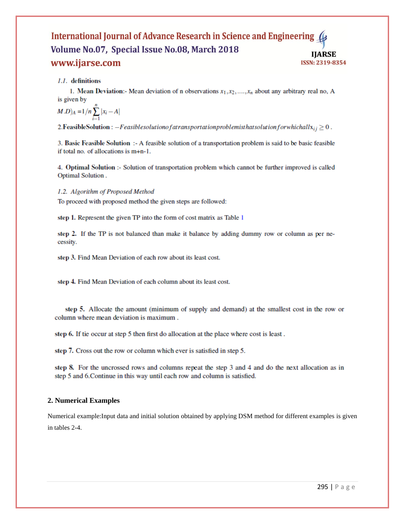## International Journal of Advance Research in Science and Engineering Volume No.07, Special Issue No.08, March 2018 **IIARSE** www.ijarse.com ISSN: 2319-8354

1.1. definitions

1. Mean Deviation:- Mean deviation of n observations  $x_1, x_2, ..., x_n$  about any arbitrary real no, A is given by

$$
(M.D)_A = 1/n \sum_{i=1}^n |x_i - A|
$$

2. Feasible Solution :  $-Feasiblesolution of a transportation problem is that solution for which all  $x_{ij} \geq 0$ .$ 

3. Basic Feasible Solution :- A feasible solution of a transportation problem is said to be basic feasible if total no. of allocations is  $m+n-1$ .

4. Optimal Solution :- Solution of transportation problem which cannot be further improved is called Optimal Solution.

### 1.2. Algorithm of Proposed Method

To proceed with proposed method the given steps are followed:

step 1. Represent the given TP into the form of cost matrix as Table 1

step 2. If the TP is not balanced than make it balance by adding dummy row or column as per necessity.

step 3. Find Mean Deviation of each row about its least cost.

step 4. Find Mean Deviation of each column about its least cost.

step 5. Allocate the amount (minimum of supply and demand) at the smallest cost in the row or column where mean deviation is maximum.

step 6. If tie occur at step 5 then first do allocation at the place where cost is least.

step 7. Cross out the row or column which ever is satisfied in step 5.

step 8. For the uncrossed rows and columns repeat the step 3 and 4 and do the next allocation as in step 5 and 6. Continue in this way until each row and column is satisfied.

## 2. Numerical Examples

Numerical example: Input data and initial solution obtained by applying DSM method for different examples is given in tables 2-4.